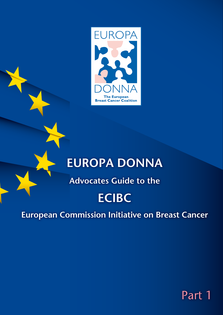

# **EUROPA DONNA**

**Advocates Guide to the**

# **ECIBC**

**European Commission Initiative on Breast Cancer**

Part 1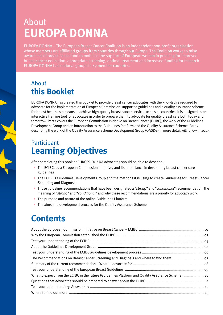# About **EUROPA DONNA**

EUROPA DONNA – The European Breast Cancer Coalition is an independent non-profit organisation whose members are affiliated groups from countries throughout Europe. The Coalition works to raise awareness of breast cancer and to mobilise the support of European women in pressing for improved breast cancer education, appropriate screening, optimal treatment and increased funding for research. EUROPA DONNA has national groups in 47 member countries.

# About **this Booklet**

EUROPA DONNA has created this booklet to provide breast cancer advocates with the knowledge required to advocate for the implementation of European Commission-supported guidelines and a quality assurance scheme for breast health as a means to achieve high-quality breast cancer services across all countries. It is designed as an interactive training tool for advocates in order to prepare them to advocate for quality breast care both today and tomorrow. Part 1 covers the European Commission Initiative on Breast Cancer (ECIBC), the work of the Guidelines Development Group and an introduction to the Guidelines Platform and the Quality Assurance Scheme. Part 2, describing the work of the Quality Assurance Scheme Development Group (QASDG) in more detail will follow in 2019.

# Participant **Learning Objectives**

After completing this booklet EUROPA DONNA advocates should be able to describe:

- The ECIBC, as a European Commission initiative, and its importance in developing breast cancer care guidelines
- The ECIBC's Guidelines Development Group and the methods it is using to create Guidelines for Breast Cancer Screening and Diagnosis
- Those guideline recommendations that have been designated a "*strong*" and "*conditional*" recommendation, the meaning of "*strong*" and "*conditional*" and why these recommendations are a priority for advocacy work
- The purpose and nature of the online Guidelines Platform
- The aims and development process for the Quality Assurance Scheme

# **Contents**

| What to expect from the ECIBC in the future (Guidelines Platform and Quality Assurance Scheme)  10 |  |
|----------------------------------------------------------------------------------------------------|--|
|                                                                                                    |  |
|                                                                                                    |  |
|                                                                                                    |  |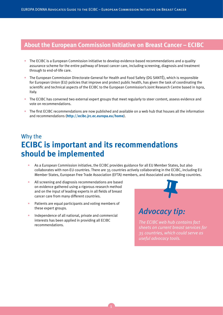#### **About the European Commission Initiative on Breast Cancer – ECIBC**

- The ECIBC is a European Commission initiative to develop evidence-based recommendations and a quality assurance scheme for the entire pathway of breast cancer care, including screening, diagnosis and treatment through to end-of-life care.
- The European Commission Directorate-General for Health and Food Safety (DG SANTÉ), which is responsible for European Union (EU) policies that improve and protect public health, has given the task of coordinating the scientific and technical aspects of the ECIBC to the European Commission's Joint Research Centre based in Ispra, Italy.
- The ECIBC has convened two external expert groups that meet regularly to steer content, assess evidence and vote on recommendations.
- The first ECIBC recommendations are now published and available on a web hub that houses all the information and recommendations (**http://ecibc.jrc.ec.europa.eu/home**).

# Why the **ECIBC is important and its recommendations should be implemented**

- As a European Commission initiative, the ECIBC provides guidance for all EU Member States, but also collaborates with non-EU countries. There are 35 countries actively collaborating in the ECIBC, including EU Member States, European Free Trade Association (EFTA) members, and Associated and Acceding countries.
- All screening and diagnosis recommendations are based on evidence gathered using a rigorous research method and on the input of leading experts in all fields of breast cancer care from many different countries.
- Patients are equal participants and voting members of these expert groups.
- Independence of all national, private and commercial interests has been applied in providing all ECIBC recommendations.



# *Advocacy tip:*

*The ECIBC web hub contains fact sheets on current breast services for 35 countries, which could serve as useful advocacy tools.*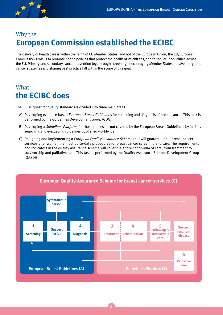

# Why the **European Commission established the ECIBC**

The delivery of health care is within the remit of EU Member States, and not of the European Union; the EU/European Commission's role is to promote health policies that protect the health of its citizens, and to reduce inequalities across the EU. Primary and secondary cancer prevention (eg, through screening), encouraging Member States to have integrated cancer strategies and sharing best practice fall within the scope of this goal.

# **What the ECIBC does**

The ECIBC quest for quality standards is divided into three main areas:

- A) Developing evidence-based *European Breast Guidelines* for screening and diagnosis of breast cancer. This task is performed by the Guidelines Development Group (GDG).
- B) Developing a *Guidelines Platform,* for those processes not covered by the European Breast Guidelines, by initially searching and evaluating guidelines published worldwide.
- C) Designing and implementing a *European Quality Assurance Scheme* that will guarantee that breast cancer services offer women the most up-to-date procedures for breast cancer screening and care. The requirements and indicators in the quality assurance scheme will cover the entire continuum of care, from treatment to survivorship and palliative care. This task is performed by the Quality Assurance Scheme Development Group (QASDG).

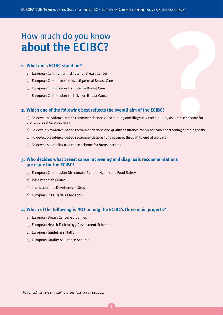# **ECIBC?**<br> **Proper COVIDECES**<br> **PROVIMBENCES**<br> **PROVIDECES**<br> **PROVIDECES**<br> **PERCIBCS:**<br> **PERCIBCS**<br> **PERCIBCS**<br> **ECIBCS**<br> **PERCIBCS**<br> **PERCIBCS**<br> **PERCIBCS**<br> **PERCIBCS**<br> **PERCIBCS**<br> **PERCIBCS**<br> **PERCIBCS**<br> **PERCIBCS**<br> **PERC about the ECIBC?**

#### **1. What does ECIBC stand for?**

- a) European Community Institute for Breast Cancer
- b) European Committee for Investigational Breast Care
- c) European Commission Institute for Breast Care
- d) European Commission Initiative on Breast Cancer

#### **2. Which one of the following best reflects the overall aim of the ECIBC?**

a) To develop evidence-based recommendations on screening and diagnosis and a quality assurance scheme for the full breast care pathway

- b) To develop evidence-based recommendations and quality assurance for breast cancer screening and diagnosis
- c) To develop evidence-based recommendations for treatment through to end of life care
- d) To develop a quality assurance scheme for breast centres

#### **3. Who decides what breast cancer screening and diagnosis recommendations are made for the ECIBC?**

- a) European Commission Directorate-General Health and Food Safety
- b) Joint Research Centre
- c) The Guidelines Development Group
- d) European Free Trade Association

#### **4. Which of the following is NOT among the ECIBC's three main projects?**

- a) European Breast Cancer Guidelines
- b) European Health Technology Assessment Scheme
- c) European Guidelines Platform
- d) European Quality Assurance Scheme

*The correct answers and their explanations are on page 12.*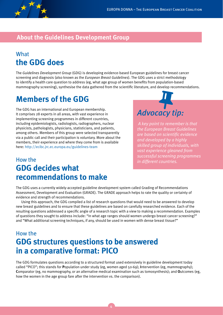

### **About the Guidelines Development Group**

# What **the GDG does**

The *Guidelines Development Group* (GDG) is developing evidence-based European guidelines for breast cancer screening and diagnosis (also known as the *European Breast Guidelines*). The GDG uses a strict methodology to identify a health care question to address (eg, what age group of women benefits from population-based mammography screening), synthesise the data gathered from the scientific literature, and develop recommendations.

# **Members of the GDG**

The GDG has an international and European membership. It comprises 28 experts in all areas, with vast experience in implementing screening programmes in different countries, including epidemiologists, radiologists, radiographers, nuclear physicists, pathologists, physicians, statisticians, and patients, among others. Members of this group were selected transparently via a public call and their participation is voluntary. More about the members, their experience and where they come from is available here: http://ecibc.jrc.ec.europa.eu/guidelines-team

# How the **GDG decides what recommendations to make**



*A key point to remember is that the European Breast Guidelines are based on scientific evidence and developed by a highly skilled group of individuals, with vast experience gleaned from successful screening programmes in different countries.*

The GDG uses a currently widely-accepted guideline development system called Grading of Recommendations Assessment, Development and Evaluation (GRADE). The GRADE approach helps to rate the quality or certainty of evidence and strength of recommendations.

Using this approach, the GDG compiled a list of research questions that would need to be answered to develop new breast guidelines and to ensure that these guidelines are based on carefully researched evidence. Each of the resulting questions addressed a specific angle of a research topic with a view to making a recommendation. Examples of questions they sought to address include: "In what age ranges should women undergo breast cancer screening?" and "What additional screening techniques, if any, should be used in women with dense breast tissue?"

# How the **GDG structures questions to be answered in a comparative format: PICO**

The GDG formulates questions according to a structured format used extensively in guideline development today called "PICO"; this stands for **P**opulation under study (eg, women aged 50-69); **I**ntervention (eg, mammography); **C**omparator (eg, no mammography, or an alternative medical examination such as tomosynthesis); and **O**utcomes (eg, how the women in the age group fare after the intervention vs. the comparison).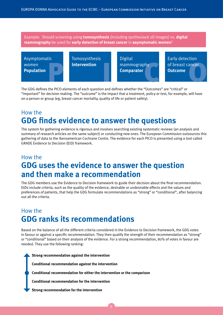Example: Should screening using **tomosynthesis** (including synthesised 2D images) vs. **digital mammography** be used for **early detection of breast cancer** in **asymptomatic women**?

Asymptomatic women **Population**<br>**Population** 

Tomosynthesis

**Example 2018**<br> **Example 2019**<br> **Example 2019 19:40 Analytical Comparator**<br> **Comparator**<br> **Comparator**<br> **Comparator** Intervention<br> **Comparator** Digital mammography **Comparator** 

Early detection of breast cancer **Outcome** 

The GDG defines the PICO elements of each question and defines whether the "Outcomes" are "critical" or "important" for decision making. The "outcome" is the impact that a treatment, policy or test, for example, will have on a person or group (eg, breast cancer mortality, quality of life or patient safety).

### How the **GDG finds evidence to answer the questions**

The system for gathering evidence is rigorous and involves searching existing systematic reviews (an analysis and summary of research articles on the same subject) or conducting new ones. The European Commission outsources this gathering of data to the Iberoamerican Cochrane Centre. The evidence for each PICO is presented using a tool called GRADE Evidence to Decision (EtD) framework.

# How the **GDG uses the evidence to answer the question and then make a recommendation**

The GDG members use the Evidence to Decision framework to guide their decision about the final recommendation. EtDs include criteria, such as the quality of the evidence, desirable or undesirable effects and the values and preferences of patients, that help the GDG formulate recommendations as "strong" or "conditional", after balancing out all the criteria.

# How the **GDG ranks its recommendations**

Based on the balance of all the different criteria considered in the Evidence to Decision framework, the GDG votes in favour or against a specific recommendation. They then qualify the strength of their recommendation as "strong" or "conditional" based on their analysis of the evidence. For a strong recommendation, 80% of votes in favour are needed. They use the following ranking:

**Strong recommendation against the intervention**

**Conditional recommendation against the intervention**

**Conditional recommendation for either the intervention or the comparison**

**Conditional recommendation for the intervention**

**Strong recommendation for the intervention**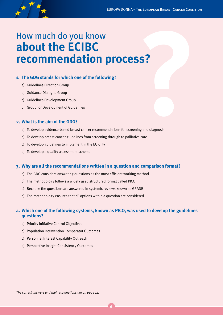

# **ECOMMENT COMMENT ACTES**<br> **PECOMMENT ACTES**<br> **PECOMMENT ACTES**<br> **2.** The GDG stands for which one of the following?<br>
a) Guidelines Direction Group<br>
b) Guidelines Development Group<br>
d) Group for Development of Guidelines<br> **about the ECIBC recommendation process?**

#### **1. The GDG stands for which one of the following?**

- a) Guidelines Direction Group
- b) Guidance Dialogue Group
- c) Guidelines Development Group
- d) Group for Development of Guidelines

#### **2. What is the aim of the GDG?**

- a) To develop evidence-based breast cancer recommendations for screening and diagnosis
- b) To develop breast cancer guidelines from screening through to palliative care
- c) To develop guidelines to implement in the EU only
- d) To develop a quality assessment scheme

#### **3. Why are all the recommendations written in a question and comparison format?**

- a) The GDG considers answering questions as the most efficient working method
- b) The methodology follows a widely used structured format called PICO
- c) Because the questions are answered in systemic reviews known as GRADE
- d) The methodology ensures that all options within a question are considered

#### **4. Which one of the following systems, known as PICO, was used to develop the guidelines questions?**

- a) Priority Initiative Control Objectives
- b) Population Intervention Comparator Outcomes
- c) Personnel Interest Capability Outreach
- d) Perspective Insight Consistency Outcomes

*The correct answers and their explanations are on page 12.*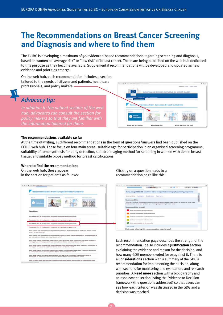# **The Recommendations on Breast Cancer Screening and Diagnosis and where to find them**

The ECIBC is developing a maximum of 90 evidenced-based recommendations regarding screening and diagnosis, based on women at "average risk" or "low risk" of breast cancer. These are being published on the web hub dedicated to this purpose as they become available. Supplemental recommendations will be developed and updated as new evidence and priorities emerge.

 $6 - 0.8$ 

On the web hub, each recommendation includes a section tailored to the needs of citizens and patients, healthcare professionals, and policy makers.

#### *Advocacy tip:*

*In addition to the patient section of the web hub, advocates can consult the section for policy makers so that they are familiar with the information tailored for them.*

#### **The recommendations available so far**

At the time of writing, 11 different recommendations in the form of questions/answers had been published on the ECIBC web hub. These focus on four main areas: suitable age for participation in an organised screening programme, suitability of tomosynthesis for early detection, suitable imaging method for screening in women with dense breast tissue, and suitable biopsy method for breast calcifications.

#### **Where to find the recommendations**

On the web hub, these appear in the section for patients as follows:

| <b>Rand #st</b><br>Senaral    | I'm a patient/individual                                                                               | T're a professional                                                                                                                                                                                                                              | T'm a policy maker |
|-------------------------------|--------------------------------------------------------------------------------------------------------|--------------------------------------------------------------------------------------------------------------------------------------------------------------------------------------------------------------------------------------------------|--------------------|
| Questions                     |                                                                                                        |                                                                                                                                                                                                                                                  |                    |
|                               | 37 you are aged 40 to 44, should you attend an organised manimography screening programme?             |                                                                                                                                                                                                                                                  |                    |
|                               | 37 you are aged 45 to 49, chould you attend an organized manimography screening programme?             |                                                                                                                                                                                                                                                  |                    |
|                               | 27 you are aged 30 to 69, should you attend an organized manimography screening programme?             |                                                                                                                                                                                                                                                  |                    |
|                               | 37 you are aged 70 to 74, should you attend an organised mammography screening programme?              |                                                                                                                                                                                                                                                  |                    |
| cancer in asymptomatic somen? |                                                                                                        | Should screening using tomospriches's (including sumihesiaed 20 images) us. digital mammography be used for early detection of breast                                                                                                            |                    |
|                               | used for early detection of breast cancer in asymptomatic women?                                       | Should screening using tomosunthesis (including sunthesised 20 images) in addition to digital mammapraphy vs. digital mammopraphy be                                                                                                             |                    |
|                               |                                                                                                        | Should tailored screening with automated breast ultrasound system (ABUS) based on high mammographic breast density, in addition to<br>maninoprazity, us, manimoprazity alone be used for early detection of breast cancer in asymptomatic women? |                    |
|                               | Frammed International in represional for early detection of breast cannot acceptance and an electronic | Should tailored screening with digital breast tomosynthesis based on high manningraphic breast density, in addition to manningraphy, vs.                                                                                                         |                    |
|                               | vs. mammogrephy alone be used for early detection of breast cancer in asymptomatic women?              | Should tailored screening with hand-held ultrasound (HHUS) based on high mammographic breast density, in addition to mammography,                                                                                                                |                    |
|                               |                                                                                                        |                                                                                                                                                                                                                                                  |                    |

Clicking on a question leads to a recommendation page like this:



ut the risk

Each recommendation page describes the strength of the recommendation. It also includes a **Justification** section explaining the evidence and reason for the decision, and how many GDG members voted for or against it. There is a **Considerations** section with a summary of the GDG's recommendation for implementing the decision, along with sections for monitoring and evaluation, and research priorities. A **Read more** section with a bibliography and an assessment section listing the Evidence to Decision framework (the questions addressed) so that users can see how each criterion was discussed in the GDG and a decision was reached.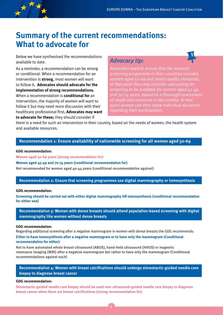

# **Summary of the current recommendations: What to advocate for**

Below we have synthesised the recommendations available to date.

As a reminder, a recommendation can be strong or conditional. When a recommendation for an intervention is **strong**, most women will want to follow it**. Advocates should advocate for the implementation of strong recommendations.** When a recommendation is **conditional for** an intervention, the majority of women will want to follow it but may need more discussion with their healthcare professional first**. Advocates may want to advocate for these;** they should consider if

#### *Advocacy tip:*

*Advocates need to ensure that the national screening programme in their countries includes women aged 50-69 and meets quality standards; at that point they may consider advocating for screening to be available for women aged 45-49 and 70-74 years, based on a thorough assessment of needs and resources in the country. At that point women can then make individual decisions regarding their participation.*

there is a need for such an intervention in their country, based on the needs of women, the health system and available resources.

#### **Recommendation 1: Ensure availability of nationwide screening for all women aged 50-69**

#### **GDG recommendation:**

**Women aged 50-69 years (strong recommendation for)**

**Women aged 45-49 and 70-74 years (conditional recommendation for)**

**Not recommended for women aged 40-44 years (conditional recommendation against)**

#### **Recommendation 2: Ensure that screening programmes use digital mammography or tomosynthesis**

#### **GDG recommendation:**

**Screening should be carried out with either digital mammography OR tomosynthesis (conditional recommendation for either one)** 

**Recommendation 3: Women with dense breasts should attend population-based screening with digital mammography like women without dense breasts**

#### **GDG recommendation:**

Regarding additional screening after a negative mammogram in women with dense breasts the GDG recommends: **Either to have tomosynthesis after a negative mammogram or to have only the mammogram (Conditional recommendation for either)**

**Not to have automated whole breast ultrasound (ABUS), hand-held ultrasound (HHUS) or magnetic resonance imaging (MRI) after a negative mammogram but rather to have only the mammogram (Conditional recommendations against each)**

**Recommendation 4: Women with breast calcifications should undergo stereotactic-guided needle core biopsy to diagnose breast cancer** 

#### **GDG recommendation:**

**Stereotactic-guided needle core biopsy should be used over ultrasound-guided needle core biopsy to diagnose breast cancer when there are breast calcifications (strong recommendation for)**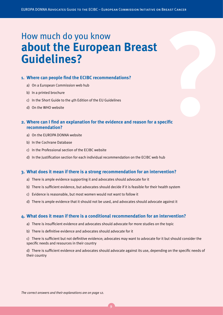# **Example 19 Follow Manual Starts Commental Starts Controlled Controlled Controlled Controlled Controlled Controlled Controlled Inness,<br>
<b>4** Where can people find the ECIBC recommendations?<br>
a) On a European Commission web **about the European Breast Guidelines?**

#### **1. Where can people find the ECIBC recommendations?**

- a) On a European Commission web hub
- b) In a printed brochure
- c) In the Short Guide to the 4th Edition of the EU Guidelines
- d) On the WHO website

#### **2. Where can I find an explanation for the evidence and reason for a specific recommendation?**

- a) On the EUROPA DONNA website
- b) In the Cochrane Database
- c) In the Professional section of the ECIBC website
- d) In the Justification section for each individual recommendation on the ECIBC web hub

#### **3. What does it mean if there is a strong recommendation for an intervention?**

- a) There is ample evidence supporting it and advocates should advocate for it
- b) There is sufficient evidence, but advocates should decide if it is feasible for their health system
- c) Evidence is reasonable, but most women would not want to follow it
- d) There is ample evidence that it should not be used, and advocates should advocate against it

#### **4. What does it mean if there is a conditional recommendation for an intervention?**

- a) There is insufficient evidence and advocates should advocate for more studies on the topic
- b) There is definitive evidence and advocates should advocate for it

c) There is sufficient but not definitive evidence; advocates may want to advocate for it but should consider the specific needs and resources in their country

d) There is sufficient evidence and advocates should advocate against its use, depending on the specific needs of their country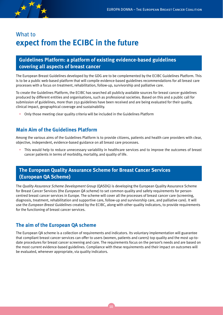

# What to **expect from the ECIBC in the future**

#### **Guidelines Platform: a platform of existing evidence-based guidelines covering all aspects of breast cancer**

The European Breast Guidelines developed by the GDG are to be complemented by the ECIBC Guidelines Platform. This is to be a public web-based platform that will compile evidence-based guidelines recommendations for all breast care processes with a focus on treatment, rehabilitation, follow-up, survivorship and palliative care.

To create the Guidelines Platform, the ECIBC has searched all publicly available sources for breast cancer guidelines produced by different entities and organisations, such as professional societies. Based on this and a public call for submission of guidelines, more than 250 guidelines have been received and are being evaluated for their quality, clinical impact, geographical coverage and sustainability.

• Only those meeting clear quality criteria will be included in the Guidelines Platform

#### **Main Aim of the Guidelines Platform**

Among the various aims of the Guidelines Platform is to provide citizens, patients and health care providers with clear, objective, independent, evidence-based guidance on all breast care processes.

• This would help to reduce unnecessary variability in healthcare services and to improve the outcomes of breast cancer patients in terms of morbidity, mortality, and quality of life.

#### **The European Quality Assurance Scheme for Breast Cancer Services (European QA Scheme)**

The *Quality Assurance Scheme Development Group* (QASDG) is developing the European Quality Assurance Scheme for Breast Cancer Services (the *European QA scheme*) to set common quality and safety requirements for personcentred breast cancer services in Europe. The scheme will cover all the processes of breast cancer care (screening, diagnosis, treatment, rehabilitation and supportive care, follow-up and survivorship care, and palliative care). It will use the *European Breast Guidelines* created by the ECIBC, along with other quality indicators, to provide requirements for the functioning of breast cancer services.

#### **The aim of the European QA scheme**

The European QA scheme is a collection of requirements and indicators. Its voluntary implementation will guarantee that compliant breast cancer services can offer to users (women, patients and carers) top quality and the most up-todate procedures for breast cancer screening and care. The requirements focus on the person's needs and are based on the most current evidence-based guidelines. Compliance with these requirements and their impact on outcomes will be evaluated, whenever appropriate, via quality indicators.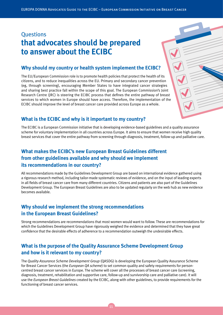# **Ouestions that advocates should be prepared to answer about the ECIBC**

#### **Why should my country or health system implement the ECIBC?**

The EU/European Commission role is to promote health policies that protect the health of its citizens, and to reduce inequalities across the EU. Primary and secondary cancer prevention (eg, through screening), encouraging Member States to have integrated cancer strategies and sharing best practice fall within the scope of this goal. The European Commission's Joint Research Centre (JRC) is steering the ECIBC process that defines the entire pathway of breast services to which women in Europe should have access. Therefore, the implementation of the ECIBC should improve the level of breast cancer care provided across Europe as a whole.

#### **What is the ECIBC and why is it important to my country?**

The ECIBC is a European Commission initiative that is developing evidence-based guidelines and a quality assurance scheme for voluntary implementation in all countries across Europe. It aims to ensure that women receive high quality breast services that cover the entire pathway from screening through diagnosis, treatment, follow-up and palliative care.

#### **What makes the ECIBC's new European Breast Guidelines different from other guidelines available and why should we implement its recommendations in our country?**

All recommendations made by the Guidelines Development Group are based on international evidence gathered using a rigorous research method, including tailor-made systematic reviews of evidence, and on the input of leading experts in all fields of breast cancer care from many different countries. Citizens and patients are also part of the Guidelines Development Group. The European Breast Guidelines are also to be updated regularly on the web hub as new evidence becomes available.

#### **Why should we implement the strong recommendations in the European Breast Guidelines?**

Strong recommendations are recommendations that most women would want to follow. These are recommendations for which the Guidelines Development Group have rigorously weighed the evidence and determined that they have great confidence that the desirable effects of adherence to a recommendation outweigh the undesirable effects.

#### **What is the purpose of the Quality Assurance Scheme Development Group and how is it relevant to my country?**

The *Quality Assurance Scheme Development Group* (QASDG) is developing the European Quality Assurance Scheme for Breast Cancer Services (the *European QA scheme*) to set common quality and safety requirements for personcentred breast cancer services in Europe. The scheme will cover all the processes of breast cancer care (screening, diagnosis, treatment, rehabilitation and supportive care, follow-up and survivorship care and palliative care). It will use the *European Breast Guidelines* created by the ECIBC, along with other guidelines, to provide requirements for the functioning of breast cancer services.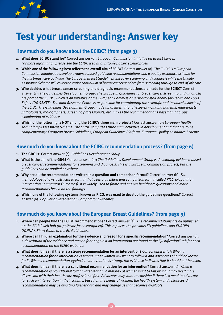

# **Test your understanding: Answer key**

#### **How much do you know about the ECIBC? (from page 3)**

- **1. What does ECIBC stand for?** Correct answer (d): *European Commission Initiative on Breast Cancer. For more information please see the ECIBC web hub: http://ecibc.jrc.ec.europa.eu*
- **2. Which one of the following best reflects the overall aim of ECIBC?** Correct answer (a): *The ECIBC is a European Commission initiative to develop evidence-based guideline recommendations and a quality assurance scheme for the full breast care pathway. The European Breast Guidelines will cover screening and diagnosis while the Quality Assurance Scheme will cover the entire continuum of breast cancer services from screening through to end-of-life care.*
- **3. Who decides what breast cancer screening and diagnosis recommendations are made for the ECIBC?** Correct answer (c)*: The Guidelines Development Group. The European guidelines for breast cancer screening and diagnosis are part of the ECIBC, which is an initiative of the European Commission's Directorate-General for Health and Food Safety (DG SANTÉ). The Joint Research Centre is responsible for coordinating the scientific and technical aspects of the ECIBC. The Guidelines Development Group, made up of international experts including patients, radiologists, pathologists, radiographers, screening professionals, etc. makes the recommendations based on rigorous examination of evidence.*
- **4. Which of the following is NOT among the ECIBC's three main projects?** Correct answer (b): *European Health Technology Assessment Scheme. The ECIBC comprises three main activities in development and that are to be complementary: European Breast Guidelines, European Guidelines Platform, European Quality Assurance Scheme.*

#### **How much do you know about the ECIBC recommendation process? (from page 6)**

- **1. The GDG is**: Correct answer (c): *Guidelines Development Group.*
- **2. What is the aim of the GDG?** Correct answer (a): *The Guidelines Development Group is developing evidence-based breast cancer recommendations for screening and diagnosis. This is a European Commission project, but the guidelines can be applied anywhere.*
- **3. Why are all the recommendations written in a question and comparison format?** Correct answer (b): *The methodology follows a structured format that uses a question and comparison format called PICO (Population Intervention Comparator Outcomes). It is widely used to frame and answer healthcare questions and make recommendations based on the findings.*
- **4. Which one of the following systems, known as PICO, was used to develop the guidelines questions?** Correct answer (b): *Population Intervention Comparator Outcomes*

#### **How much do you know about the European Breast Guidelines? (from page 9)**

- **1. Where can people find the ECIBC recommendations?** Correct answer (a): *The recommendations are all published on the ECIBC web hub (http://ecibc.jrc.ec.europa.eu). This replaces the previous EU guidelines and EUROPA DONNA's Short Guide to the EU Guidelines.*
- **2. Where can I find an explanation for the evidence and reason for a specific recommendation?** Correct answer (d): *A description of the evidence and reason for or against an intervention are found at the "justification" tab for each recommendation on the ECIBC web hub.*
- **3. What does it mean if there is a strong recommendation for an intervention?** *Correct answer (a): When a recommendation for an intervention is strong, most women will want to follow it and advocates should advocate for it. When a recommendation against an intervention is strong, the evidence indicates that it should not be used.*
- **4. What does it mean if there is a conditional recommendation for an intervention?** Correct answer (c): *When a*  recommendation is "conditional for" an intervention, a majority of women want to follow it but may need more *discussion with their health care professional first. Advocates may want to consider if there is a need to advocate for such an intervention in their country, based on the needs of women, the health system and resources. A recommendation may be awaiting further data and may change as that becomes available.*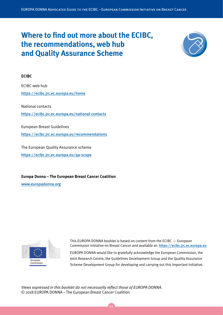# **Where to find out more about the ECIBC, the recommendations, web hub and Quality Assurance Scheme**



#### **ECIBC**

ECIBC web hub <https://ecibc.jrc.ec.europa.eu/home>

National contacts <https://ecibc.jrc.ec.europa.eu/national-contacts>

European Breast Guidelines <https://ecibc.jrc.ec.europa.eu/recommendations>

The European Quality Assurance scheme <https://ecibc.jrc.ec.europa.eu/qa-scope>

**Europa Donna – The European Breast Cancer Coalition**

[www.europadonna.org](http://www.europadonna.org)



This EUROPA DONNA booklet is based on content from the ECIBC — European Commission Initiative on Breast Cancer and available at: <https://ecibc.jrc.ec.europa.eu> EUROPA DONNA would like to gratefully acknowledge the European Commission, the Joint Research Centre, the Guidelines Development Group and the Quality Assurance Scheme Development Group for developing and carrying out this important initiative.

*Views expressed in this booklet do not necessarily reflect those of EUROPA DONNA.*  © 2018 EUROPA DONNA – The European Breast Cancer Coalition